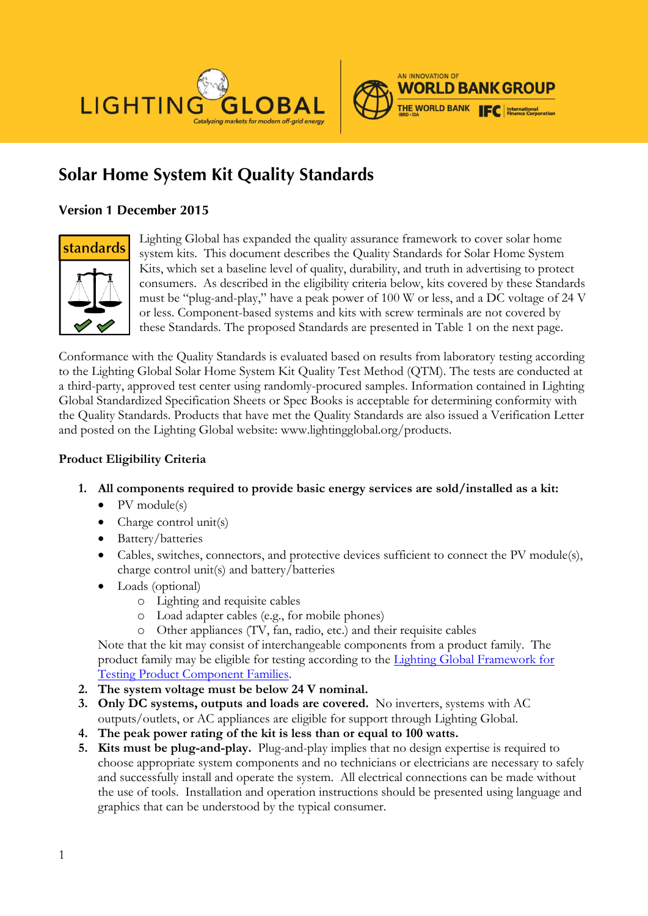



# *Solar Home System Kit Quality Standards*

# *Version 1 December 2015*



Lighting Global has expanded the quality assurance framework to cover solar home system kits. This document describes the Quality Standards for Solar Home System Kits, which set a baseline level of quality, durability, and truth in advertising to protect consumers. As described in the eligibility criteria below, kits covered by these Standards must be "plug-and-play," have a peak power of 100 W or less, and a DC voltage of 24 V or less. Component-based systems and kits with screw terminals are not covered by these Standards. The proposed Standards are presented in Table 1 on the next page.

Conformance with the Quality Standards is evaluated based on results from laboratory testing according to the Lighting Global Solar Home System Kit Quality Test Method (QTM). The tests are conducted at a third-party, approved test center using randomly-procured samples. Information contained in Lighting Global Standardized Specification Sheets or Spec Books is acceptable for determining conformity with the Quality Standards. Products that have met the Quality Standards are also issued a Verification Letter and posted on the Lighting Global website: www.lightingglobal.org/products.

### **Product Eligibility Criteria**

- **1. All components required to provide basic energy services are sold/installed as a kit:**
	- $\bullet$  PV module(s)
	- Charge control unit(s)
	- Battery/batteries
	- Cables, switches, connectors, and protective devices sufficient to connect the PV module(s), charge control unit(s) and battery/batteries
	- Loads (optional)
		- o Lighting and requisite cables
		- o Load adapter cables (e.g., for mobile phones)
		- o Other appliances (TV, fan, radio, etc.) and their requisite cables

Note that the kit may consist of interchangeable components from a product family. The product family may be eligible for testing according to the [Lighting Global Framework for](http://www.lightingglobal.org/resources/lighting-global-program-documents/)  [Testing Product Component Families.](http://www.lightingglobal.org/resources/lighting-global-program-documents/)

- **2. The system voltage must be below 24 V nominal.**
- **3. Only DC systems, outputs and loads are covered.** No inverters, systems with AC outputs/outlets, or AC appliances are eligible for support through Lighting Global.
- **4. The peak power rating of the kit is less than or equal to 100 watts.**
- **5. Kits must be plug-and-play.** Plug-and-play implies that no design expertise is required to choose appropriate system components and no technicians or electricians are necessary to safely and successfully install and operate the system. All electrical connections can be made without the use of tools. Installation and operation instructions should be presented using language and graphics that can be understood by the typical consumer.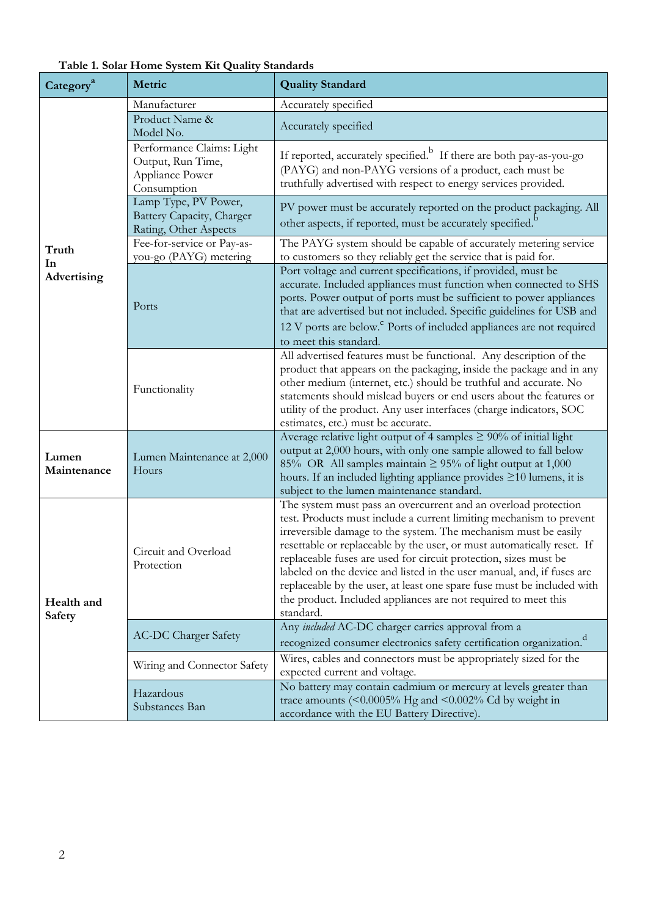| Category <sup>a</sup>       | Metric                                                                           | <b>Quality Standard</b>                                                                                                                                                                                                                                                                                                                                                                                                                                                                                                                                                                   |  |  |
|-----------------------------|----------------------------------------------------------------------------------|-------------------------------------------------------------------------------------------------------------------------------------------------------------------------------------------------------------------------------------------------------------------------------------------------------------------------------------------------------------------------------------------------------------------------------------------------------------------------------------------------------------------------------------------------------------------------------------------|--|--|
|                             | Manufacturer                                                                     | Accurately specified                                                                                                                                                                                                                                                                                                                                                                                                                                                                                                                                                                      |  |  |
|                             | Product Name &<br>Model No.                                                      | Accurately specified                                                                                                                                                                                                                                                                                                                                                                                                                                                                                                                                                                      |  |  |
|                             | Performance Claims: Light<br>Output, Run Time,<br>Appliance Power<br>Consumption | If reported, accurately specified. <sup>b</sup> If there are both pay-as-you-go<br>(PAYG) and non-PAYG versions of a product, each must be<br>truthfully advertised with respect to energy services provided.                                                                                                                                                                                                                                                                                                                                                                             |  |  |
|                             | Lamp Type, PV Power,<br>Battery Capacity, Charger<br>Rating, Other Aspects       | PV power must be accurately reported on the product packaging. All<br>other aspects, if reported, must be accurately specified. <sup>b</sup>                                                                                                                                                                                                                                                                                                                                                                                                                                              |  |  |
| Truth<br>In                 | Fee-for-service or Pay-as-<br>you-go (PAYG) metering                             | The PAYG system should be capable of accurately metering service<br>to customers so they reliably get the service that is paid for.                                                                                                                                                                                                                                                                                                                                                                                                                                                       |  |  |
| Advertising                 | Ports                                                                            | Port voltage and current specifications, if provided, must be<br>accurate. Included appliances must function when connected to SHS<br>ports. Power output of ports must be sufficient to power appliances<br>that are advertised but not included. Specific guidelines for USB and<br>12 V ports are below. <sup>c</sup> Ports of included appliances are not required<br>to meet this standard.                                                                                                                                                                                          |  |  |
|                             | Functionality                                                                    | All advertised features must be functional. Any description of the<br>product that appears on the packaging, inside the package and in any<br>other medium (internet, etc.) should be truthful and accurate. No<br>statements should mislead buyers or end users about the features or<br>utility of the product. Any user interfaces (charge indicators, SOC<br>estimates, etc.) must be accurate.                                                                                                                                                                                       |  |  |
| Lumen<br>Maintenance        | Lumen Maintenance at 2,000<br>Hours                                              | Average relative light output of 4 samples $\geq$ 90% of initial light<br>output at 2,000 hours, with only one sample allowed to fall below<br>85% OR All samples maintain $\geq$ 95% of light output at 1,000<br>hours. If an included lighting appliance provides $\geq$ 10 lumens, it is<br>subject to the lumen maintenance standard.                                                                                                                                                                                                                                                 |  |  |
| Health and<br><b>Safety</b> | Circuit and Overload<br>Protection                                               | The system must pass an overcurrent and an overload protection<br>test. Products must include a current limiting mechanism to prevent<br>irreversible damage to the system. The mechanism must be easily<br>resettable or replaceable by the user, or must automatically reset. If<br>replaceable fuses are used for circuit protection, sizes must be<br>labeled on the device and listed in the user manual, and, if fuses are<br>replaceable by the user, at least one spare fuse must be included with<br>the product. Included appliances are not required to meet this<br>standard. |  |  |
|                             | <b>AC-DC Charger Safety</b>                                                      | Any included AC-DC charger carries approval from a<br>recognized consumer electronics safety certification organization. <sup>d</sup>                                                                                                                                                                                                                                                                                                                                                                                                                                                     |  |  |
|                             | Wiring and Connector Safety                                                      | Wires, cables and connectors must be appropriately sized for the<br>expected current and voltage.                                                                                                                                                                                                                                                                                                                                                                                                                                                                                         |  |  |
|                             | Hazardous<br>Substances Ban                                                      | No battery may contain cadmium or mercury at levels greater than<br>trace amounts ( $\leq 0.0005\%$ Hg and $\leq 0.002\%$ Cd by weight in<br>accordance with the EU Battery Directive).                                                                                                                                                                                                                                                                                                                                                                                                   |  |  |

**Table 1. Solar Home System Kit Quality Standards**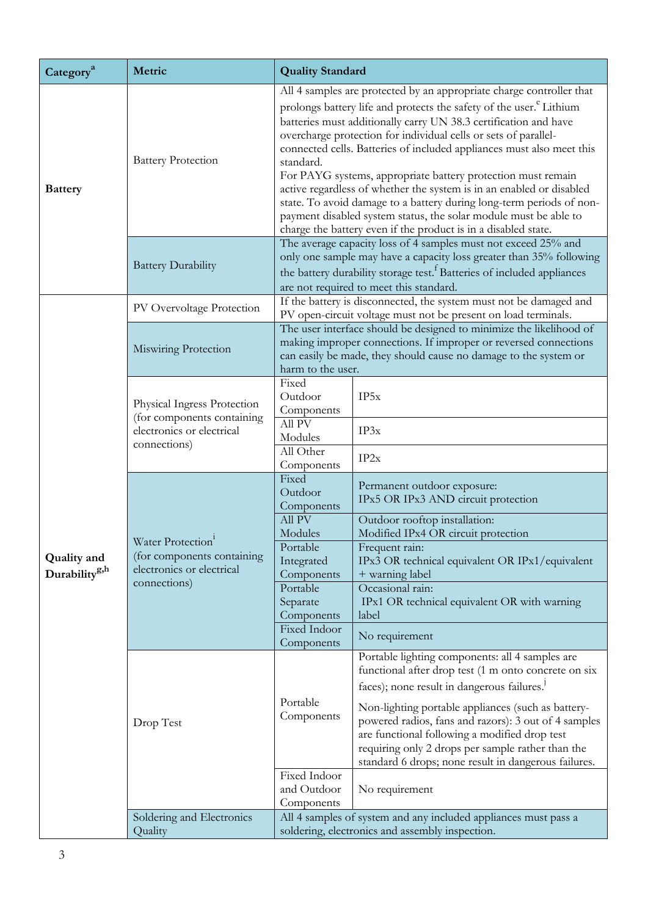| Category <sup>a</sup>                           | Metric                                                                                                   | <b>Quality Standard</b>                                                                                                                                                                                                                                                                                                                                                                                                                                                                                                                                                                                                                                                                                                                    |                                                                                                                                                                                                                                                                                                                                                                                                                                                |  |  |
|-------------------------------------------------|----------------------------------------------------------------------------------------------------------|--------------------------------------------------------------------------------------------------------------------------------------------------------------------------------------------------------------------------------------------------------------------------------------------------------------------------------------------------------------------------------------------------------------------------------------------------------------------------------------------------------------------------------------------------------------------------------------------------------------------------------------------------------------------------------------------------------------------------------------------|------------------------------------------------------------------------------------------------------------------------------------------------------------------------------------------------------------------------------------------------------------------------------------------------------------------------------------------------------------------------------------------------------------------------------------------------|--|--|
| <b>Battery</b>                                  | <b>Battery Protection</b>                                                                                | All 4 samples are protected by an appropriate charge controller that<br>prolongs battery life and protects the safety of the user. <sup>e</sup> Lithium<br>batteries must additionally carry UN 38.3 certification and have<br>overcharge protection for individual cells or sets of parallel-<br>connected cells. Batteries of included appliances must also meet this<br>standard.<br>For PAYG systems, appropriate battery protection must remain<br>active regardless of whether the system is in an enabled or disabled<br>state. To avoid damage to a battery during long-term periods of non-<br>payment disabled system status, the solar module must be able to<br>charge the battery even if the product is in a disabled state. |                                                                                                                                                                                                                                                                                                                                                                                                                                                |  |  |
|                                                 | <b>Battery Durability</b>                                                                                | The average capacity loss of 4 samples must not exceed 25% and<br>only one sample may have a capacity loss greater than 35% following<br>the battery durability storage test. <sup>†</sup> Batteries of included appliances<br>are not required to meet this standard.                                                                                                                                                                                                                                                                                                                                                                                                                                                                     |                                                                                                                                                                                                                                                                                                                                                                                                                                                |  |  |
|                                                 | PV Overvoltage Protection                                                                                | If the battery is disconnected, the system must not be damaged and<br>PV open-circuit voltage must not be present on load terminals.                                                                                                                                                                                                                                                                                                                                                                                                                                                                                                                                                                                                       |                                                                                                                                                                                                                                                                                                                                                                                                                                                |  |  |
|                                                 | Miswiring Protection                                                                                     | The user interface should be designed to minimize the likelihood of<br>making improper connections. If improper or reversed connections<br>can easily be made, they should cause no damage to the system or<br>harm to the user.                                                                                                                                                                                                                                                                                                                                                                                                                                                                                                           |                                                                                                                                                                                                                                                                                                                                                                                                                                                |  |  |
| <b>Quality</b> and<br>Durability <sup>g,h</sup> | Physical Ingress Protection<br>(for components containing<br>electronics or electrical<br>connections)   | Fixed<br>Outdoor<br>Components<br>All PV                                                                                                                                                                                                                                                                                                                                                                                                                                                                                                                                                                                                                                                                                                   | IP5x                                                                                                                                                                                                                                                                                                                                                                                                                                           |  |  |
|                                                 |                                                                                                          | Modules<br>All Other<br>Components                                                                                                                                                                                                                                                                                                                                                                                                                                                                                                                                                                                                                                                                                                         | IP3x<br>IP2x                                                                                                                                                                                                                                                                                                                                                                                                                                   |  |  |
|                                                 | Water Protection <sup>1</sup><br>(for components containing<br>electronics or electrical<br>connections) | Fixed<br>Outdoor<br>Components<br>All PV                                                                                                                                                                                                                                                                                                                                                                                                                                                                                                                                                                                                                                                                                                   | Permanent outdoor exposure:<br>IPx5 OR IPx3 AND circuit protection<br>Outdoor rooftop installation:                                                                                                                                                                                                                                                                                                                                            |  |  |
|                                                 |                                                                                                          | Modules<br>Portable<br>Integrated<br>Components                                                                                                                                                                                                                                                                                                                                                                                                                                                                                                                                                                                                                                                                                            | Modified IPx4 OR circuit protection<br>Frequent rain:<br>IPx3 OR technical equivalent OR IPx1/equivalent<br>+ warning label                                                                                                                                                                                                                                                                                                                    |  |  |
|                                                 |                                                                                                          | Portable<br>Separate<br>Components<br>Fixed Indoor                                                                                                                                                                                                                                                                                                                                                                                                                                                                                                                                                                                                                                                                                         | Occasional rain:<br>IPx1 OR technical equivalent OR with warning<br>label                                                                                                                                                                                                                                                                                                                                                                      |  |  |
|                                                 |                                                                                                          | Components                                                                                                                                                                                                                                                                                                                                                                                                                                                                                                                                                                                                                                                                                                                                 | No requirement                                                                                                                                                                                                                                                                                                                                                                                                                                 |  |  |
|                                                 | Drop Test                                                                                                | Portable<br>Components                                                                                                                                                                                                                                                                                                                                                                                                                                                                                                                                                                                                                                                                                                                     | Portable lighting components: all 4 samples are<br>functional after drop test (1 m onto concrete on six<br>faces); none result in dangerous failures. <sup>1</sup><br>Non-lighting portable appliances (such as battery-<br>powered radios, fans and razors): 3 out of 4 samples<br>are functional following a modified drop test<br>requiring only 2 drops per sample rather than the<br>standard 6 drops; none result in dangerous failures. |  |  |
|                                                 |                                                                                                          | Fixed Indoor<br>and Outdoor<br>Components                                                                                                                                                                                                                                                                                                                                                                                                                                                                                                                                                                                                                                                                                                  | No requirement                                                                                                                                                                                                                                                                                                                                                                                                                                 |  |  |
|                                                 | Soldering and Electronics<br>Quality                                                                     | All 4 samples of system and any included appliances must pass a<br>soldering, electronics and assembly inspection.                                                                                                                                                                                                                                                                                                                                                                                                                                                                                                                                                                                                                         |                                                                                                                                                                                                                                                                                                                                                                                                                                                |  |  |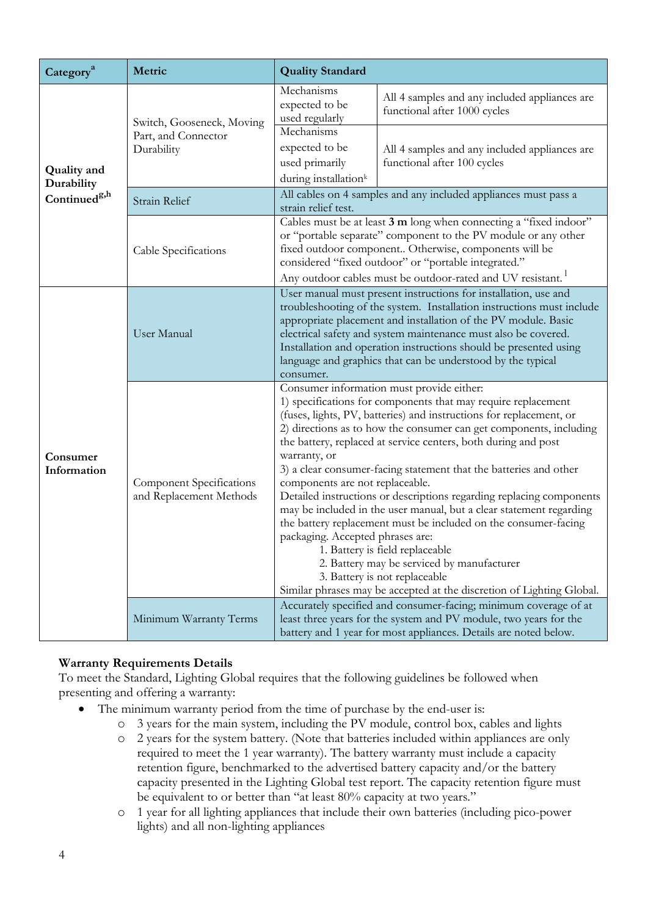| Category <sup>a</sup>            | Metric                                                         | <b>Quality Standard</b>                                                                                                                                                                                                                                                                                                                                                                                                                                                                                                                                                                                                                                                                                                                                                                                                                                                                            |                                                                               |  |
|----------------------------------|----------------------------------------------------------------|----------------------------------------------------------------------------------------------------------------------------------------------------------------------------------------------------------------------------------------------------------------------------------------------------------------------------------------------------------------------------------------------------------------------------------------------------------------------------------------------------------------------------------------------------------------------------------------------------------------------------------------------------------------------------------------------------------------------------------------------------------------------------------------------------------------------------------------------------------------------------------------------------|-------------------------------------------------------------------------------|--|
| <b>Quality</b> and<br>Durability | Switch, Gooseneck, Moving<br>Part, and Connector<br>Durability | Mechanisms<br>expected to be<br>used regularly                                                                                                                                                                                                                                                                                                                                                                                                                                                                                                                                                                                                                                                                                                                                                                                                                                                     | All 4 samples and any included appliances are<br>functional after 1000 cycles |  |
|                                  |                                                                | Mechanisms<br>expected to be<br>used primarily<br>during installation <sup>k</sup>                                                                                                                                                                                                                                                                                                                                                                                                                                                                                                                                                                                                                                                                                                                                                                                                                 | All 4 samples and any included appliances are<br>functional after 100 cycles  |  |
| Continued <sup>g,h</sup>         | Strain Relief                                                  | All cables on 4 samples and any included appliances must pass a<br>strain relief test.                                                                                                                                                                                                                                                                                                                                                                                                                                                                                                                                                                                                                                                                                                                                                                                                             |                                                                               |  |
|                                  | Cable Specifications                                           | Cables must be at least 3 m long when connecting a "fixed indoor"<br>or "portable separate" component to the PV module or any other<br>fixed outdoor component Otherwise, components will be<br>considered "fixed outdoor" or "portable integrated."<br>Any outdoor cables must be outdoor-rated and UV resistant.                                                                                                                                                                                                                                                                                                                                                                                                                                                                                                                                                                                 |                                                                               |  |
| Consumer<br>Information          | User Manual                                                    | User manual must present instructions for installation, use and<br>troubleshooting of the system. Installation instructions must include<br>appropriate placement and installation of the PV module. Basic<br>electrical safety and system maintenance must also be covered.<br>Installation and operation instructions should be presented using<br>language and graphics that can be understood by the typical<br>consumer.                                                                                                                                                                                                                                                                                                                                                                                                                                                                      |                                                                               |  |
|                                  | <b>Component Specifications</b><br>and Replacement Methods     | Consumer information must provide either:<br>1) specifications for components that may require replacement<br>(fuses, lights, PV, batteries) and instructions for replacement, or<br>2) directions as to how the consumer can get components, including<br>the battery, replaced at service centers, both during and post<br>warranty, or<br>3) a clear consumer-facing statement that the batteries and other<br>components are not replaceable.<br>Detailed instructions or descriptions regarding replacing components<br>may be included in the user manual, but a clear statement regarding<br>the battery replacement must be included on the consumer-facing<br>packaging. Accepted phrases are:<br>1. Battery is field replaceable<br>2. Battery may be serviced by manufacturer<br>3. Battery is not replaceable<br>Similar phrases may be accepted at the discretion of Lighting Global. |                                                                               |  |
|                                  | Minimum Warranty Terms                                         | Accurately specified and consumer-facing; minimum coverage of at<br>least three years for the system and PV module, two years for the<br>battery and 1 year for most appliances. Details are noted below.                                                                                                                                                                                                                                                                                                                                                                                                                                                                                                                                                                                                                                                                                          |                                                                               |  |

### **Warranty Requirements Details**

To meet the Standard, Lighting Global requires that the following guidelines be followed when presenting and offering a warranty:

- The minimum warranty period from the time of purchase by the end-user is:
	- o 3 years for the main system, including the PV module, control box, cables and lights
	- o 2 years for the system battery. (Note that batteries included within appliances are only required to meet the 1 year warranty). The battery warranty must include a capacity retention figure, benchmarked to the advertised battery capacity and/or the battery capacity presented in the Lighting Global test report. The capacity retention figure must be equivalent to or better than "at least 80% capacity at two years."
	- o 1 year for all lighting appliances that include their own batteries (including pico-power lights) and all non-lighting appliances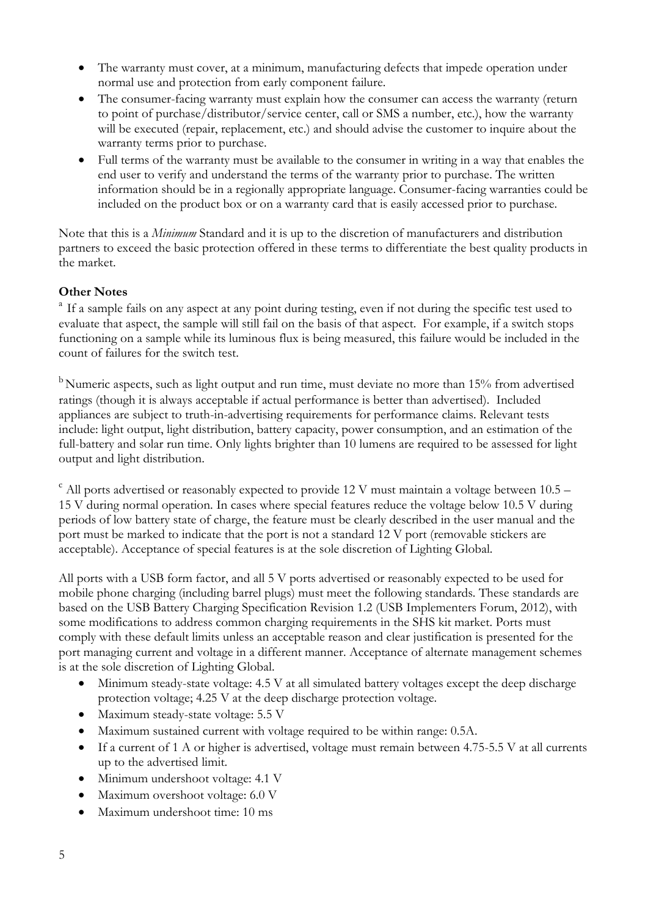- The warranty must cover, at a minimum, manufacturing defects that impede operation under normal use and protection from early component failure.
- The consumer-facing warranty must explain how the consumer can access the warranty (return to point of purchase/distributor/service center, call or SMS a number, etc.), how the warranty will be executed (repair, replacement, etc.) and should advise the customer to inquire about the warranty terms prior to purchase.
- Full terms of the warranty must be available to the consumer in writing in a way that enables the end user to verify and understand the terms of the warranty prior to purchase. The written information should be in a regionally appropriate language. Consumer-facing warranties could be included on the product box or on a warranty card that is easily accessed prior to purchase.

Note that this is a *Minimum* Standard and it is up to the discretion of manufacturers and distribution partners to exceed the basic protection offered in these terms to differentiate the best quality products in the market.

# **Other Notes**

<sup>a</sup> If a sample fails on any aspect at any point during testing, even if not during the specific test used to evaluate that aspect, the sample will still fail on the basis of that aspect. For example, if a switch stops functioning on a sample while its luminous flux is being measured, this failure would be included in the count of failures for the switch test.

<sup>b</sup>Numeric aspects, such as light output and run time, must deviate no more than 15% from advertised ratings (though it is always acceptable if actual performance is better than advertised). Included appliances are subject to truth-in-advertising requirements for performance claims. Relevant tests include: light output, light distribution, battery capacity, power consumption, and an estimation of the full-battery and solar run time. Only lights brighter than 10 lumens are required to be assessed for light output and light distribution.

 $\degree$  All ports advertised or reasonably expected to provide 12 V must maintain a voltage between 10.5 – 15 V during normal operation. In cases where special features reduce the voltage below 10.5 V during periods of low battery state of charge, the feature must be clearly described in the user manual and the port must be marked to indicate that the port is not a standard 12 V port (removable stickers are acceptable). Acceptance of special features is at the sole discretion of Lighting Global.

All ports with a USB form factor, and all 5 V ports advertised or reasonably expected to be used for mobile phone charging (including barrel plugs) must meet the following standards. These standards are based on the USB Battery Charging Specification Revision 1.2 (USB Implementers Forum, 2012), with some modifications to address common charging requirements in the SHS kit market. Ports must comply with these default limits unless an acceptable reason and clear justification is presented for the port managing current and voltage in a different manner. Acceptance of alternate management schemes is at the sole discretion of Lighting Global.

- Minimum steady-state voltage: 4.5 V at all simulated battery voltages except the deep discharge protection voltage; 4.25 V at the deep discharge protection voltage.
- Maximum steady-state voltage: 5.5 V
- Maximum sustained current with voltage required to be within range: 0.5A.
- If a current of 1 A or higher is advertised, voltage must remain between 4.75-5.5 V at all currents up to the advertised limit.
- Minimum undershoot voltage: 4.1 V
- Maximum overshoot voltage: 6.0 V
- Maximum undershoot time: 10 ms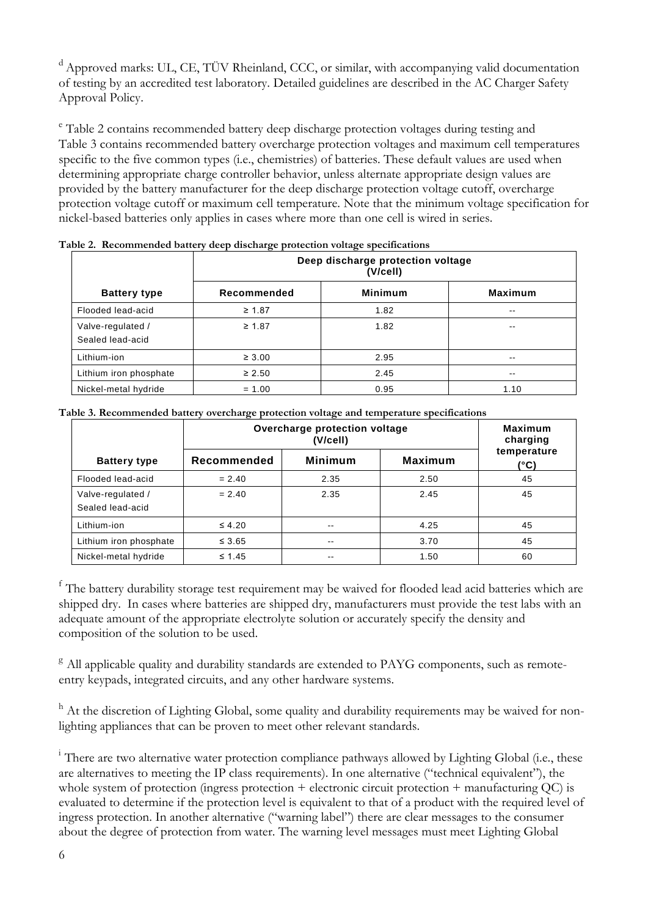<sup>d</sup> Approved marks: UL, CE, TÜV Rheinland, CCC, or similar, with accompanying valid documentation of testing by an accredited test laboratory. Detailed guidelines are described in the AC Charger Safety Approval Policy.

<sup>e</sup> [Table 2](#page-5-0)contains recommended battery deep discharge protection voltages during testing and [Table 3](#page-5-1) contains recommended battery overcharge protection voltages and maximum cell temperatures specific to the five common types (i.e., chemistries) of batteries. These default values are used when determining appropriate charge controller behavior, unless alternate appropriate design values are provided by the battery manufacturer for the deep discharge protection voltage cutoff, overcharge protection voltage cutoff or maximum cell temperature. Note that the minimum voltage specification for nickel-based batteries only applies in cases where more than one cell is wired in series.

|                                       | Deep discharge protection voltage<br>(V/cell) |                |                |  |  |
|---------------------------------------|-----------------------------------------------|----------------|----------------|--|--|
| <b>Battery type</b>                   | Recommended                                   | <b>Minimum</b> | <b>Maximum</b> |  |  |
| Flooded lead-acid                     | $\geq 1.87$                                   | 1.82           | $\sim$ $\sim$  |  |  |
| Valve-regulated /<br>Sealed lead-acid | $\geq 1.87$                                   | 1.82           | $\sim$ $\sim$  |  |  |
| Lithium-ion                           | $\geq 3.00$                                   | 2.95           | $\sim$ $\sim$  |  |  |
| Lithium iron phosphate                | $\geq 2.50$                                   | 2.45           | $\sim$ $\sim$  |  |  |
| Nickel-metal hydride                  | $= 1.00$                                      | 0.95           | 1.10           |  |  |

<span id="page-5-0"></span>

| Table 2. Recommended battery deep discharge protection voltage specifications |
|-------------------------------------------------------------------------------|
|-------------------------------------------------------------------------------|

<span id="page-5-1"></span>

|  |  | Table 3. Recommended battery overcharge protection voltage and temperature specifications |
|--|--|-------------------------------------------------------------------------------------------|
|  |  |                                                                                           |

|                                       | $\mathbf{c}$<br>Overcharge protection voltage | <b>Maximum</b><br>charging |                |                     |
|---------------------------------------|-----------------------------------------------|----------------------------|----------------|---------------------|
| <b>Battery type</b>                   | Recommended                                   | <b>Minimum</b>             | <b>Maximum</b> | temperature<br>(°C) |
| Flooded lead-acid                     | $= 2.40$                                      | 2.35                       | 2.50           | 45                  |
| Valve-regulated /<br>Sealed lead-acid | $= 2.40$                                      | 2.35                       | 2.45           | 45                  |
| Lithium-ion                           | $\leq 4.20$                                   | $\sim$ $\sim$              | 4.25           | 45                  |
| Lithium iron phosphate                | $\leq 3.65$                                   | $\sim$ $\sim$              | 3.70           | 45                  |
| Nickel-metal hydride                  | $\leq 1.45$                                   | $- -$                      | 1.50           | 60                  |

<sup>f</sup> The battery durability storage test requirement may be waived for flooded lead acid batteries which are shipped dry. In cases where batteries are shipped dry, manufacturers must provide the test labs with an adequate amount of the appropriate electrolyte solution or accurately specify the density and composition of the solution to be used.

<sup>g</sup> All applicable quality and durability standards are extended to PAYG components, such as remoteentry keypads, integrated circuits, and any other hardware systems.

h At the discretion of Lighting Global, some quality and durability requirements may be waived for nonlighting appliances that can be proven to meet other relevant standards.

<sup>i</sup> There are two alternative water protection compliance pathways allowed by Lighting Global (i.e., these are alternatives to meeting the IP class requirements). In one alternative ("technical equivalent"), the whole system of protection (ingress protection + electronic circuit protection + manufacturing QC) is evaluated to determine if the protection level is equivalent to that of a product with the required level of ingress protection. In another alternative ("warning label") there are clear messages to the consumer about the degree of protection from water. The warning level messages must meet Lighting Global